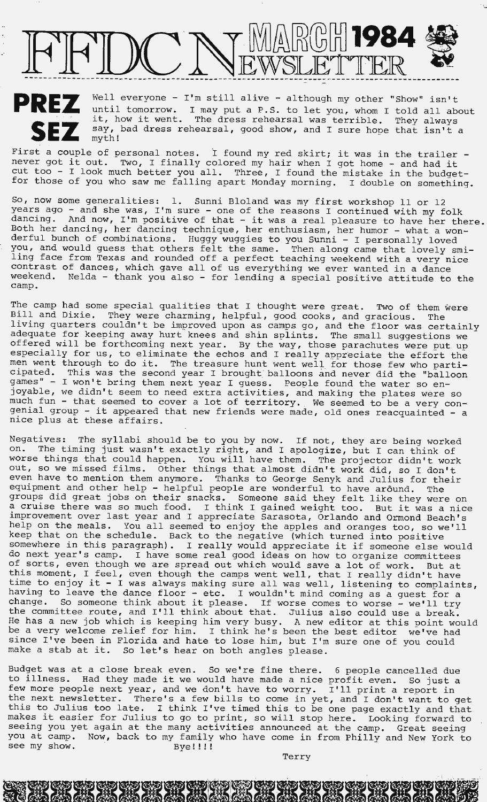

**SEZ** 

**PREZ** Well everyone - I'm still alive - although my other "Show" isn't until tomorrow. I may put a P.S. to let you, whom I told all abo until tomorrow. I may put a P.S. to let you, whom I told all about until tomorrow. I may put a P.S. to let you, whom I told all abo<br>it, how it went. The dress rehearsal was terrible. They always say, bad dress rehearsal, good show, and I sure hope that isn't a myth!

First a couple of personal notes. I found my red skirt; it was in the trailer never got it out. Two, I finally colored my hair when I got home - and had it cut too - I look much better you all. Three, I found the mistake in the budgetfor those of you who saw me falling apart Monday morning. I double on something.

So, now some generalities: 1. Sunni Bloland was my first workshop 11 or 12 years ago - and she was, I'm sure - one of the reasons I continued with my folk dancing. And now, I'm positive of that - it was a real pleasure to have her there. Both her dancing, her dancing technique, her enthusiasm, her humor - what a wonderful bunch of combinations. Huggy wuggies to you Sunni - I personally loved you, and would guess that others felt the same. Then along came that lovely smiling face from Texas and rounded off a perfect teaching weekend with a very nice ting face from fexas and founded off a perfect teaching weekend with a very ni<br>contrast of dances, which gave all of us everything we ever wanted in a dance weekend. Nelda - thank you also - for lending a special positive attitude to the camp.

The camp had some special qualities that I thought were great. Two of them were Bill and Dixie. They were charming, helpful, good cooks, and gracious. The living quarters couldn't be improved upon as camps go, and the floor was certainly adequate for keeping away hurt knees and shin splints. The small suggestions we offered will be forthcoming next year. By the way, those parachutes were put up especially for us, to eliminate the echos and I really appreciate the effort the men went through to do it. The treasure hunt went well for those few who participated. This was the second year I brought balloons and never did the "balloon games" - I won't bring them next year I guess. People found the water so enjoyable, we didn't seem to need extra activities, and making the plates were so much fun - that seemed to cover a lot of territory .. We seemed to be a very conmucn run - tnat seemed to cover a lot of territory. We seemed to be a very con-<br>genial group - it appeared that new friends were made, old ones reacquainted - a nice plus at these affairs.

Negatives: The syllabi should be to you by now. If not, they are being worked on. The timing just wasn't exactly right, and I apologize, but I can think of worse things that could happen. You will have them. The projector didn't work out, so we missed films. Other things that almost didn't work did, so I don't even have to mention them anymore. Thanks to George Senyk and Julius for their equipment and other help - helpful people are wonderful to have around. The groups did great jobs on their snacks. Someone said they felt like they were on groups aid great jobs on their snacks. Someone said they felt like they were on<br>a cruise there was so much food. I think I gained weight too. But it was a nice improvement over last year and I appreciate Sarasota, Orlando and Ormond Beach's help on the meals. You all seemed to enjoy the apples and oranges too, so we'll keep that on the schedule. Back to the negative (which turned into positive keep tnat on the schedule. Back to the negative (which turned into positive<br>somewhere in this paragraph). I really would appreciate it if someone else would do next year's camp. I have some real good ideas on how to organize committees of sorts, even though we are spread out which would save a lot of work. But at this moment, I feel, even though the camps went well, that I really didn't have time to enjoy it - I was always making sure all was well, listening to complaints, having to leave the dance floor - etc. I wouldn't mind coming as a guest for a naving to leave the dance floor - etc. I wouldn't mind coming as a guest for a<br>change. So someone think about it please. If worse comes to worse - we'll try change. So someone think about it please. If worse comes to worse - we'll try<br>the committee route, and I'll think about that. Julius also could use a break. end committee foute, and I if think about that. Suffus also could use a break.<br>He has a new job which is keeping him very busy. A new editor at this point would be a very welcome relief for him. I think he's been the best editor we've had since I've been in Florida and hate to lose him, but I'm sure one of you could make a stab at it. So let's hear on both angles please.

Budget was at a close break even. So we're fine there. 6 people cancelled due to illness. Had they made it we would have made a nice profit even. So just a to illness. Had they made it we would have made a nice profit even. So just a<br>few more people next year, and we don't have to worry. I'll print a report in It a next people next year, and we don't have to worry. I'll print a report in<br>the next newsletter. There's a few bills to come in yet, and I don't want to get this to Julius too late. I think I've timed this to be one page exactly and that makes it easier for Julius to go to print, so will stop here. Looking forward to seeing you yet again at the many activities announced at the camp. Great seeing you at camp. Now, back to my family who have come in from Philly and New York to see my show. Bye!!!!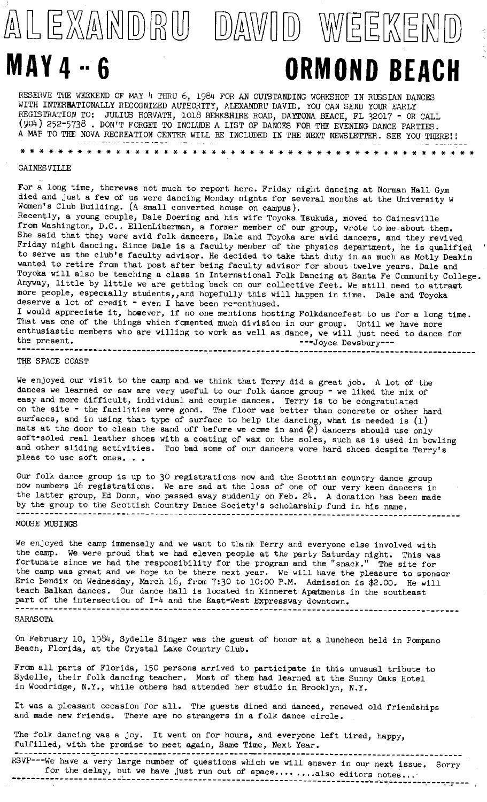# ALEXANDRU DAWID WEEKEND **MAY 4** .. **6 ORMOND BEACH**

RESERVE THE WEEKEND OF MAY 4 THRU 6, 1984 FOR AN OUTSTANDING WORKSHOP IN RUSSIAN DANCES WITH INTEREATIONALLY RECOGNIZED AUTHORITY, ALEXANDRU DAVID. YOU CAN SEND YOUR EARLY REGISTRATION TO: JULIUS HORVATH, 1018 BERKSHIRE ROAD, DAYTONA BEACH, FL 32017 - OR CALL (904) 252-5738 • DON'T FORGET TO INCLUDE A LIST OF DANCES FOR THE EVENING DANCE PARTIES. A MAP TO THE NOVA RECREATION CENTER WILL BE INCLUDED IN THE NEXT NEWSLETTER. SEE YOU THERE!!

#### GAINES VILLE

\* \* \* \* \* \* \* \* \* \* \* \* \* \* \* \* \* \* \* \* \* \* \* \* \* \* \* \* \* \* \* \* \* \* \* \* \* \* \* \* \* \* \* \* \* \* \* \*

For a long time, therewas not much to report here. Friday night dancing at Norman Hall Gym died and just a few of us were dancing Monday nights for several months at the University W Women's Club Building. (A small converted house on campus).

Recently, a young couple, Dale Doering and his wife Toyoka Tsukuda, moved to Gainesville from Washington, D.C.. EllenLiberman, a former member of our group, wrote to me about them. She said that they were avid folk dancers, Dale and Toyoka are avid dancers, and they revived Friday night dancing. Since Dale **is a** faculty member of the physics department, he is qualified to serve as the club's faculty advisor. He decided to take that duty in as much as Motly Deakin wanted to retire from that post after being faculty advisor for about twelve years. Dale and Toyoka will also be teaching a class in International Folk Dancing at Santa Fe Community College. Anyway, little by little we are getting back on our collective feet. We still need to attract more people, especially students,,and hopefully this will happen in time. Dale and Toyoka deserve a lot of credit - even I have been re-enthused. I would appreciate it, however, if no one mentions hosting Folkdancefest to us for a long time. That was one of the things which fomented much division in our group. Until we have more

enthusiastic members who are willing to work as well as dance, we will just need to dance for the present.  $\overline{\phantom{a}}$  --10yce Dewsbury--------------------------------------------------------------------------------------------------- THE SPACE COAST

We enjoyed our visit to the camp and we think that Terry did a great job. A lot of the dances we learned or saw are very useful to our folk dance group - we liked the mix of easy and more difficult, individual and couple dances. Terry **is** to be congratulated on the site - the facilities were good. The floor **was** better than concrete or other hard surfaces, and in using that type of surface to help the dancing, what is needed is  $(1)$ mats at the door to clean the sand off before we come in and  $(2)$  dancers should use only soft-soled real leather shoes with a coating of **wax** on the soles, such as is used in bowling and other sliding activities. Too bad some of our dancers wore hard shoes despite Terry's pleas to use soft ones...

Our folk dance group is up to 30 registrations now and the Scottish country dance group now numbers 16 registrations. We are sad at the loss of one of our very keen dancers in the latter group, Ed Donn, who passed away suddenly on Feb. 24. A donation has been made by the group to the Scottish Country Dance Society's scholarship fund in his name. --------------------------------------------------------------------------------------------- MOUSE MUSINGS

We enjoyed the camp immensely and we want to thank Terry and everyone else involved with the camp. We were proud that we had eleven people at the party Saturday night. This was fortunate since we had the responsibility for the program and the "snack." The site for the camp was great and we hope to be there next year. We will have the pleasure to sponsor Eric Bendix on Wednesday, March 16, from 7:30 to 10:00 P.M. Admission is \$2.00. He will teach Balkan dances. Our dance hall is located in Kinneret Apartments in the southeast part of the intersection of I-4 and the East-West Expressway downtown. ---------------------------------------------------------------------------------------------

#### SARASorA

On February 10, 1984, Sydelle Singer was the guest of honor at a luncheon held in Pompano Beach, Florida, at the Crystal Lake Country Club.

From all parts of Florida, 150 persons arrived to participate in this unusual tribute to Sydelle, their folk dancing teacher. Most of them had learned at the Sunny Oaks Hotel in Woodridge, N.Y., while others had attended her studio in Brooklyn, N.Y.

It was a pleasant occasion for all. The guests dined and danced, renewed old friendships and made new friends. There are no strangers in a folk dance circle.

The folk dancing was a joy. It went on for hours, and everyone left tired, happy, fulfilled, with the promise to meet again, Same Time, Next Year.

------------------ ----------------------. ------ -- - .. --- ------------------------- -------- RSVP---we have a very large number of questions which we will answer in our next issue. Sorry for the delay, but we have just run out of space ........ also editors notes... . . ·---- ·------- ·- - -. ------.--- .. ·• ---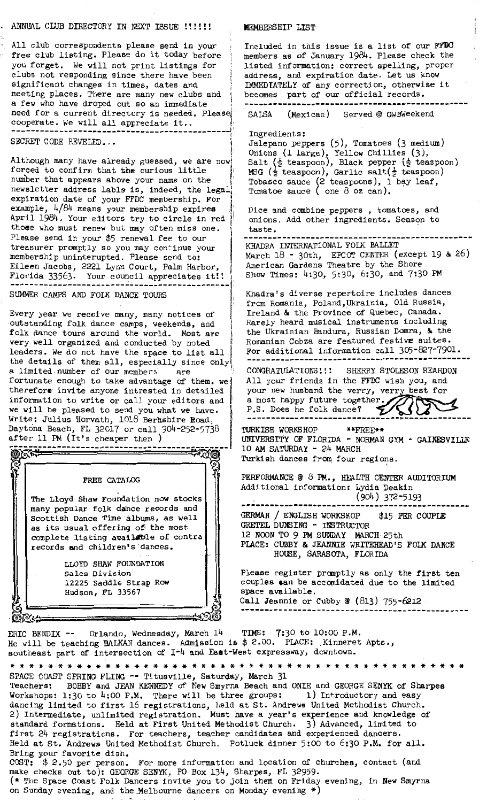### ANNUAL CLUB DIRECTORY IN NEXT ISSUE !!!!!!

All club correspondents please send in your free club listing. Please do it today before you forget. We will not print listings for clubs not responding since there have been significant changes in times, dates and meeting places. There are many new clubs and a few who have droped out so an immediate need for a current directory is needed. Please need for a current directory is needed. Please , I ê. SECRET CODE REVELED...

Although many have already guessed, we are now forced to confirm that **the** curious little number that appears above your name on the newsletter address lable is, indeed, the legal expiration date of your FFDC membership. For example,  $4/84$  means your membership expires April 1984. Your editors try to circle in red **those** who must renew but may often miss one. Please send in your \$5 renewal fee to our treasurer promptly so you may continue your membership uninterupted. Please send to: Eileen Jacobs, 2221 Lynn Court, Palm Harbor, Florida 33563. Your council appreciates it!! ---------------------------------------------- SUMMER CAMPS AND FOLK DANCE TOURS

Every year we receive many, many notices of •Outstanding folk dance camps, weekends, and folk dance tours around the world. Most are very well organized and conducted by noted leaders. We do not have the space to list all the details of them all, especially since only a limited number of our members are fortunate enough to take advantage of them. we therefore invite anyone intrested in detailed information to write or call your editors and we will be pleased to send you what we have. Write: Julius Horvath, 1018 Berkshire Road, Daytona Beach, FL 32017 or call 904-252-5738

after 11 PM (It's cheaper then) *,1?!·----------:~--~~:~-----------;,-~--* FREE CATALOG The Lloyd Shaw Foundation now stocks many popular folk dance records and Scottish Dance Time albums, as well as its usual offering of the most complete listing available of contra records and children's 'dances. LLOYD SHAW FOUNDATION Sales Division 12225 Saddle Strap Row Hudson, FL 33567

⊠⊯

**I**<br>Internet 1 Salt ( $\frac{1}{2}$  teaspoon), Black pepper ( $\frac{1}{2}$  teaspoon) **M3G** (½ teaspoon), Garlic salt(½ teaspoon) Tabasco sauce (2 teaspoons), 1 bay leaf, Tomatoe sauce ( one  $8$  oz can). Dice and combine peppers, tomatoes, and onions. Add other ingredients. Season to taste.<br>--------------------------KHADRA INTERNATIONAL FOLK BALLET March  $18$  - 30th, EPCOT CENTER (except 19 & 26) American Gardens Theatre by the Shore Show Times: 4:30, 5:30, 6:30, and 7:30 PM Khadra's diverse repertoire includes dances from Romania, Poland,Ukrainia, Old Russia, Ireland & the Province of Quebec, Canada. Rarely heard musical instruments including the Ukrainian Bandura, Russian Domra, & the Romanian Cobza are featured festive suites. For additional information call  $305-827-7901$ . CONGRATULATIONS!!! SHERRY STOLESON REARDON All your friends in the FFDC wish you, and your new husband the verry, verry best for<br>a most happy future together. a most happy future together.<br>P.S. Does he folk dance?<br> **URKISH WORKSHOP** \*\*FREE\*\* TURKISH WORKSHOP

UNIVERSITY OF FLORIDA - NORMAN GYM - GAINESVILLE 10 AM SATURDAY - 24 MARCH Turkish dances from four regions.

PERFORMANCE @ 8 **FM.,** HEALTH CENTER AUDITORIUM Additional information: Lydia Deakin (904) 372-5193

------------------------------------------------ GERMAN / ENGLISH WORKSHOP \$15 PER COUPLE GRETEL DUNSING - INSTRUCTOR 12 NOON TO 9 PM SUNDAY MARCH· 25th PLACE: CUBBY & JEANNIE WHITEHEAD'S FOLK DANCE HOUSE, SARASOTA, FLORIDA

Please register promptly as only the first ten couples can be accomidated due to the limited **space available. Call Jeannie** or Cubby @ ( 813) 755-6212 . -- ----------------------------------------------

ERIC BENDIX -- Orlando, Wednesday, March 14 TIME: 7:30 to 10:00 P.M. He will be teaching BALKAN dances. Admission is \$ 2.00. PLACE: Kinneret Apts., southeast part of intersection of I<sup>-4</sup> and East-West expressway, downtown.

| * * * * * * * * * * * * * * * * *                                                         |
|-------------------------------------------------------------------------------------------|
| SPACE COAST SPRING FLING -- Titusville, Saturday, March 31                                |
| Teachers: BOBBY and JEAN KENNEDY of New Smyrna Beach and ONIE and GEORGE SENYK of Sharpes |
| Workshops: 1:30 to 4:00 P.M. There will be three groups: $1)$ Introductory and easy       |
| dancing limited to first 16 registrations, held at St. Andrews United Methodist Church.   |
| 2) Intermediate, unlimited registration. Must have a year's experience and knowledge of   |
| standard formations. Held at First United Methodist Church. 3) Advanced, limited to       |
| first 24 registrations. For teachers, teacher candidates and experienced dancers.         |
| Held at St. Andrews United Methodist Church. Potluck dinner 5:00 to 6:30 P.M. for all.    |
| Bring your favorite dish.                                                                 |
| COST: $$2.50$ per person. For more information and location of churches, contact (and     |
| make checks out to): GEORGE SENYK, PO Box 134, Sharpes, FL 32959.                         |
| (* The Space Coast Folk Dancers invite you to join them on Friday evening, in New Smyrna  |
| on Sunday evening, and the Melbourne dancers on Monday evening $*)$                       |
|                                                                                           |

#### **MEMBERSHIP LIST**

Included in this issue is a list of our **FFDO**  members as of January 1984 . Please check the listed information: correct spelling, proper address, and expiration date. Let us know IMMEDIATELY of any correction, otherwise it becomes . part of our official records.

----------------------------------------------- (Mexican) Served @ GWBWeekend

Ingredients:

Jalepano peppers (5), Tomatoes (3 medium) Onions (1 large), Yellow Chillies (3),